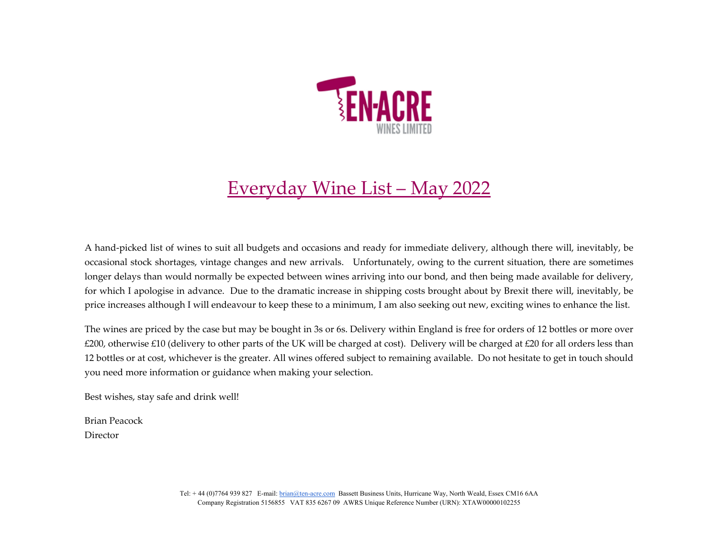

## Everyday Wine List – May 2022

A hand‐picked list of wines to suit all budgets and occasions and ready for immediate delivery, although there will, inevitably, be occasional stock shortages, vintage changes and new arrivals. Unfortunately, owing to the current situation, there are sometimes longer delays than would normally be expected between wines arriving into our bond, and then being made available for delivery, for which I apologise in advance. Due to the dramatic increase in shipping costs brought about by Brexit there will, inevitably, be price increases although I will endeavour to keep these to <sup>a</sup> minimum, I am also seeking out new, exciting wines to enhance the list.

The wines are priced by the case but may be bought in 3s or 6s. Delivery within England is free for orders of <sup>12</sup> bottles or more over £200, otherwise £10 (delivery to other parts of the UK will be charged at cost). Delivery will be charged at £20 for all orders less than 12 bottles or at cost, whichever is the greater. All wines offered subject to remaining available. Do not hesitate to ge<sup>t</sup> in touch should you need more information or guidance when making your selection.

Best wishes, stay safe and drink well!

Brian Peacock Director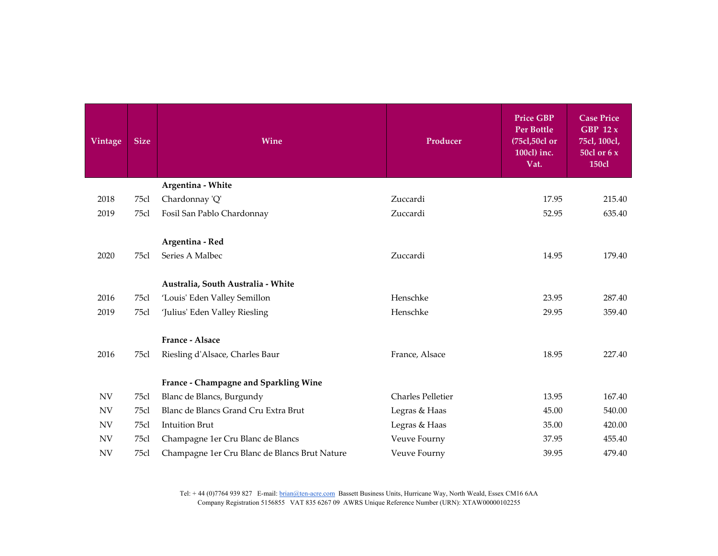| Vintage    | <b>Size</b> | Wine                                               | Producer                 | <b>Price GBP</b><br>Per Bottle<br>(75cl,50cl or<br>100cl) inc.<br>Vat. | <b>Case Price</b><br><b>GBP 12 x</b><br>75cl, 100cl,<br>$50c$ l or $6x$<br>150cl |
|------------|-------------|----------------------------------------------------|--------------------------|------------------------------------------------------------------------|----------------------------------------------------------------------------------|
|            |             | Argentina - White                                  |                          |                                                                        |                                                                                  |
| 2018       | 75cl        | Chardonnay 'Q'                                     | Zuccardi                 | 17.95                                                                  | 215.40                                                                           |
| 2019       | 75cl        | Fosil San Pablo Chardonnay                         | Zuccardi                 | 52.95                                                                  | 635.40                                                                           |
| 2020       | 75cl        | Argentina - Red<br>Series A Malbec                 | Zuccardi                 | 14.95                                                                  | 179.40                                                                           |
|            |             | Australia, South Australia - White                 |                          |                                                                        |                                                                                  |
| 2016       | 75cl        | 'Louis' Eden Valley Semillon                       | Henschke                 | 23.95                                                                  | 287.40                                                                           |
| 2019       | 75cl        | 'Julius' Eden Valley Riesling                      | Henschke                 | 29.95                                                                  | 359.40                                                                           |
| 2016       | 75cl        | France - Alsace<br>Riesling d'Alsace, Charles Baur | France, Alsace           | 18.95                                                                  | 227.40                                                                           |
|            |             | France - Champagne and Sparkling Wine              |                          |                                                                        |                                                                                  |
| <b>NV</b>  | 75cl        | Blanc de Blancs, Burgundy                          | <b>Charles Pelletier</b> | 13.95                                                                  | 167.40                                                                           |
| <b>NV</b>  | 75cl        | Blanc de Blancs Grand Cru Extra Brut               | Legras & Haas            | 45.00                                                                  | 540.00                                                                           |
| <b>NV</b>  | 75cl        | <b>Intuition Brut</b>                              | Legras & Haas            | 35.00                                                                  | 420.00                                                                           |
| <b>NV</b>  | 75cl        | Champagne 1er Cru Blanc de Blancs                  | Veuve Fourny             | 37.95                                                                  | 455.40                                                                           |
| ${\rm NV}$ | 75cl        | Champagne 1er Cru Blanc de Blancs Brut Nature      | Veuve Fourny             | 39.95                                                                  | 479.40                                                                           |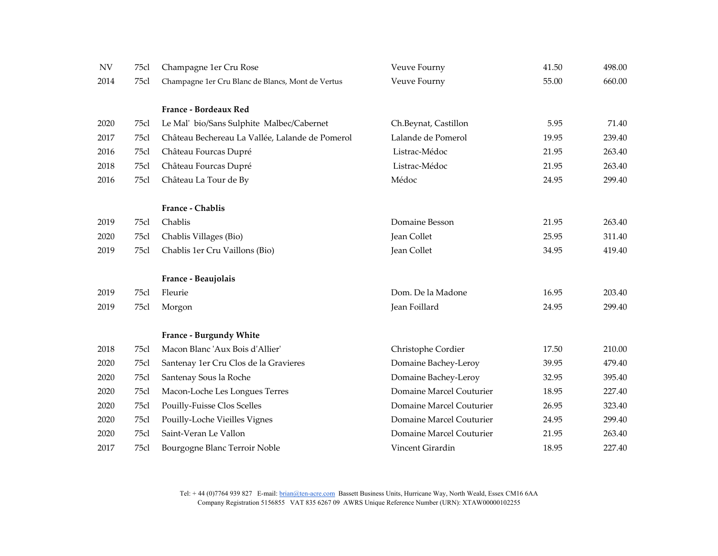| $\mathrm{NV}$ | 75cl | Champagne 1er Cru Rose                            | Veuve Fourny             | 41.50 | 498.00 |
|---------------|------|---------------------------------------------------|--------------------------|-------|--------|
| 2014          | 75cl | Champagne 1er Cru Blanc de Blancs, Mont de Vertus | Veuve Fourny             | 55.00 | 660.00 |
|               |      | France - Bordeaux Red                             |                          |       |        |
| 2020          | 75cl | Le Mal' bio/Sans Sulphite Malbec/Cabernet         | Ch.Beynat, Castillon     | 5.95  | 71.40  |
| 2017          | 75cl | Château Bechereau La Vallée, Lalande de Pomerol   | Lalande de Pomerol       | 19.95 | 239.40 |
| 2016          | 75cl | Château Fourcas Dupré                             | Listrac-Médoc            | 21.95 | 263.40 |
| 2018          | 75cl | Château Fourcas Dupré                             | Listrac-Médoc            | 21.95 | 263.40 |
| 2016          | 75cl | Château La Tour de By                             | Médoc                    | 24.95 | 299.40 |
|               |      | France - Chablis                                  |                          |       |        |
| 2019          | 75cl | Chablis                                           | Domaine Besson           | 21.95 | 263.40 |
| 2020          | 75cl | Chablis Villages (Bio)                            | Jean Collet              | 25.95 | 311.40 |
| 2019          | 75cl | Chablis 1er Cru Vaillons (Bio)                    | Jean Collet              | 34.95 | 419.40 |
|               |      | France - Beaujolais                               |                          |       |        |
| 2019          | 75cl | Fleurie                                           | Dom. De la Madone        | 16.95 | 203.40 |
| 2019          | 75cl | Morgon                                            | Jean Foillard            | 24.95 | 299.40 |
|               |      | France - Burgundy White                           |                          |       |        |
| 2018          | 75cl | Macon Blanc 'Aux Bois d'Allier'                   | Christophe Cordier       | 17.50 | 210.00 |
| 2020          | 75cl | Santenay 1er Cru Clos de la Gravieres             | Domaine Bachey-Leroy     | 39.95 | 479.40 |
| 2020          | 75cl | Santenay Sous la Roche                            | Domaine Bachey-Leroy     | 32.95 | 395.40 |
| 2020          | 75cl | Macon-Loche Les Longues Terres                    | Domaine Marcel Couturier | 18.95 | 227.40 |
| 2020          | 75cl | Pouilly-Fuisse Clos Scelles                       | Domaine Marcel Couturier | 26.95 | 323.40 |
| 2020          | 75cl | Pouilly-Loche Vieilles Vignes                     | Domaine Marcel Couturier | 24.95 | 299.40 |
| 2020          | 75cl | Saint-Veran Le Vallon                             | Domaine Marcel Couturier | 21.95 | 263.40 |
| 2017          | 75cl | Bourgogne Blanc Terroir Noble                     | Vincent Girardin         | 18.95 | 227.40 |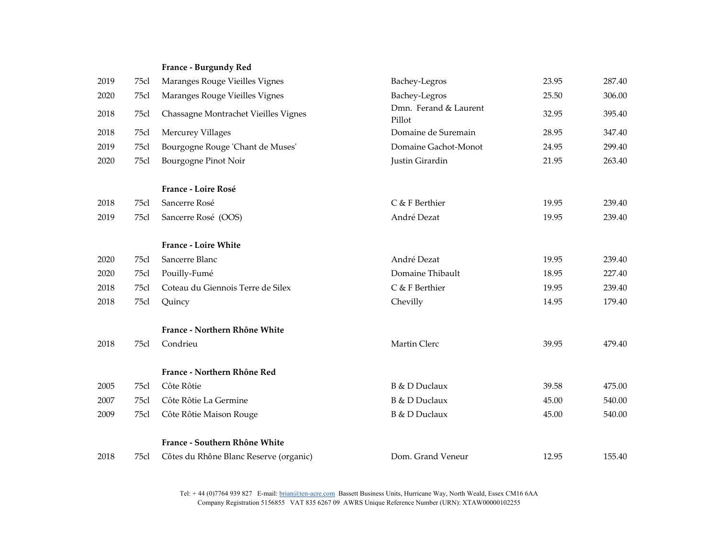## **France ‐ Burgundy Red**

| 2019 | 75cl | Maranges Rouge Vieilles Vignes         | Bachey-Legros                   | 23.95 | 287.40 |
|------|------|----------------------------------------|---------------------------------|-------|--------|
| 2020 | 75cl | Maranges Rouge Vieilles Vignes         | Bachey-Legros                   | 25.50 | 306.00 |
| 2018 | 75cl | Chassagne Montrachet Vieilles Vignes   | Dmn. Ferand & Laurent<br>Pillot | 32.95 | 395.40 |
| 2018 | 75cl | Mercurey Villages                      | Domaine de Suremain             | 28.95 | 347.40 |
| 2019 | 75cl | Bourgogne Rouge 'Chant de Muses'       | Domaine Gachot-Monot            | 24.95 | 299.40 |
| 2020 | 75cl | Bourgogne Pinot Noir                   | Justin Girardin                 | 21.95 | 263.40 |
|      |      | France - Loire Rosé                    |                                 |       |        |
| 2018 | 75cl | Sancerre Rosé                          | C & F Berthier                  | 19.95 | 239.40 |
| 2019 | 75cl | Sancerre Rosé (OOS)                    | André Dezat                     | 19.95 | 239.40 |
|      |      | <b>France - Loire White</b>            |                                 |       |        |
| 2020 | 75cl | Sancerre Blanc                         | André Dezat                     | 19.95 | 239.40 |
| 2020 | 75cl | Pouilly-Fumé                           | Domaine Thibault                | 18.95 | 227.40 |
| 2018 | 75cl | Coteau du Giennois Terre de Silex      | C & F Berthier                  | 19.95 | 239.40 |
| 2018 | 75cl | Quincy                                 | Chevilly                        | 14.95 | 179.40 |
|      |      | France - Northern Rhône White          |                                 |       |        |
| 2018 | 75cl | Condrieu                               | Martin Clerc                    | 39.95 | 479.40 |
|      |      | France - Northern Rhône Red            |                                 |       |        |
| 2005 | 75cl | Côte Rôtie                             | <b>B</b> & D Duclaux            | 39.58 | 475.00 |
| 2007 | 75cl | Côte Rôtie La Germine                  | <b>B</b> & D Duclaux            | 45.00 | 540.00 |
| 2009 | 75cl | Côte Rôtie Maison Rouge                | <b>B</b> & D Duclaux            | 45.00 | 540.00 |
|      |      | France - Southern Rhône White          |                                 |       |        |
| 2018 | 75cl | Côtes du Rhône Blanc Reserve (organic) | Dom. Grand Veneur               | 12.95 | 155.40 |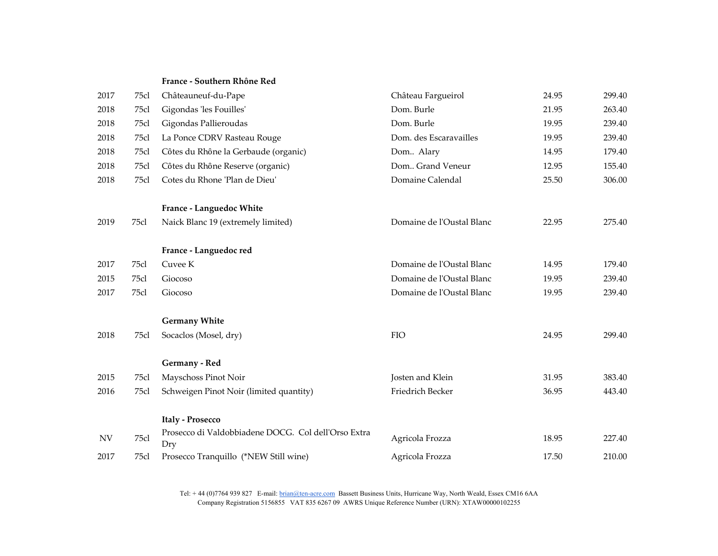| 2017      | 75cl | Châteauneuf-du-Pape                                        | Château Fargueirol        | 24.95 | 299.40 |
|-----------|------|------------------------------------------------------------|---------------------------|-------|--------|
| 2018      | 75cl | Gigondas 'les Fouilles'                                    | Dom. Burle                | 21.95 | 263.40 |
| 2018      | 75cl | Gigondas Pallieroudas                                      | Dom. Burle                | 19.95 | 239.40 |
| 2018      | 75cl | La Ponce CDRV Rasteau Rouge                                | Dom. des Escaravailles    | 19.95 | 239.40 |
| 2018      | 75cl | Côtes du Rhône la Gerbaude (organic)                       | Dom Alary                 | 14.95 | 179.40 |
| 2018      | 75cl | Côtes du Rhône Reserve (organic)                           | Dom Grand Veneur          | 12.95 | 155.40 |
| 2018      | 75cl | Cotes du Rhone 'Plan de Dieu'                              | Domaine Calendal          | 25.50 | 306.00 |
|           |      | France - Languedoc White                                   |                           |       |        |
| 2019      | 75cl | Naick Blanc 19 (extremely limited)                         | Domaine de l'Oustal Blanc | 22.95 | 275.40 |
|           |      | France - Languedoc red                                     |                           |       |        |
| 2017      | 75cl | Cuvee K                                                    | Domaine de l'Oustal Blanc | 14.95 | 179.40 |
| 2015      | 75cl | Giocoso                                                    | Domaine de l'Oustal Blanc | 19.95 | 239.40 |
| 2017      | 75cl | Giocoso                                                    | Domaine de l'Oustal Blanc | 19.95 | 239.40 |
|           |      | <b>Germany White</b>                                       |                           |       |        |
| 2018      | 75cl | Socaclos (Mosel, dry)                                      | <b>FIO</b>                | 24.95 | 299.40 |
|           |      | Germany - Red                                              |                           |       |        |
| 2015      | 75cl | Mayschoss Pinot Noir                                       | Josten and Klein          | 31.95 | 383.40 |
| 2016      | 75cl | Schweigen Pinot Noir (limited quantity)                    | Friedrich Becker          | 36.95 | 443.40 |
|           |      | <b>Italy - Prosecco</b>                                    |                           |       |        |
| <b>NV</b> | 75cl | Prosecco di Valdobbiadene DOCG. Col dell'Orso Extra<br>Dry | Agricola Frozza           | 18.95 | 227.40 |
| 2017      | 75cl | Prosecco Tranquillo (*NEW Still wine)                      | Agricola Frozza           | 17.50 | 210.00 |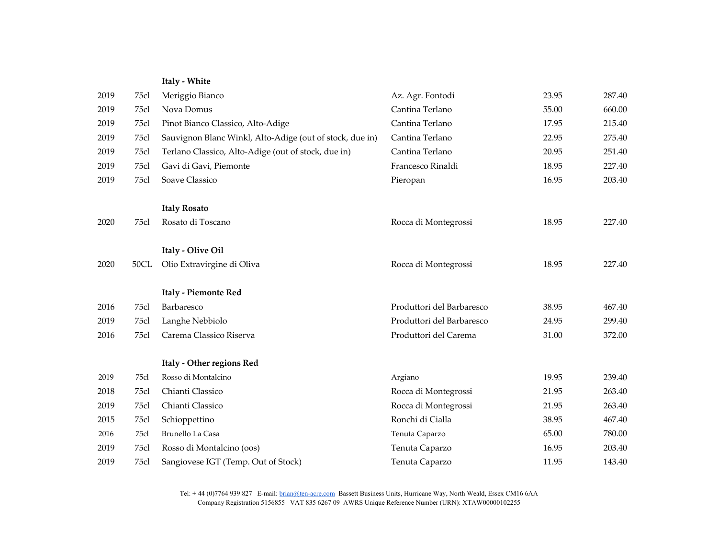|      |      | Italy - White                                            |                           |       |        |
|------|------|----------------------------------------------------------|---------------------------|-------|--------|
| 2019 | 75cl | Meriggio Bianco                                          | Az. Agr. Fontodi          | 23.95 | 287.40 |
| 2019 | 75cl | Nova Domus                                               | Cantina Terlano           | 55.00 | 660.00 |
| 2019 | 75cl | Pinot Bianco Classico, Alto-Adige                        | Cantina Terlano           | 17.95 | 215.40 |
| 2019 | 75cl | Sauvignon Blanc Winkl, Alto-Adige (out of stock, due in) | Cantina Terlano           | 22.95 | 275.40 |
| 2019 | 75cl | Terlano Classico, Alto-Adige (out of stock, due in)      | Cantina Terlano           | 20.95 | 251.40 |
| 2019 | 75cl | Gavi di Gavi, Piemonte                                   | Francesco Rinaldi         | 18.95 | 227.40 |
| 2019 | 75cl | Soave Classico                                           | Pieropan                  | 16.95 | 203.40 |
|      |      | <b>Italy Rosato</b>                                      |                           |       |        |
| 2020 | 75cl | Rosato di Toscano                                        | Rocca di Montegrossi      | 18.95 | 227.40 |
|      |      | Italy - Olive Oil                                        |                           |       |        |
| 2020 | 50CL | Olio Extravirgine di Oliva                               | Rocca di Montegrossi      | 18.95 | 227.40 |
|      |      | Italy - Piemonte Red                                     |                           |       |        |
| 2016 | 75cl | Barbaresco                                               | Produttori del Barbaresco | 38.95 | 467.40 |
| 2019 | 75cl | Langhe Nebbiolo                                          | Produttori del Barbaresco | 24.95 | 299.40 |
| 2016 | 75cl | Carema Classico Riserva                                  | Produttori del Carema     | 31.00 | 372.00 |
|      |      | Italy - Other regions Red                                |                           |       |        |
| 2019 | 75c1 | Rosso di Montalcino                                      | Argiano                   | 19.95 | 239.40 |
| 2018 | 75cl | Chianti Classico                                         | Rocca di Montegrossi      | 21.95 | 263.40 |
| 2019 | 75cl | Chianti Classico                                         | Rocca di Montegrossi      | 21.95 | 263.40 |
| 2015 | 75cl | Schioppettino                                            | Ronchi di Cialla          | 38.95 | 467.40 |
| 2016 | 75cl | Brunello La Casa                                         | Tenuta Caparzo            | 65.00 | 780.00 |
| 2019 | 75cl | Rosso di Montalcino (oos)                                | Tenuta Caparzo            | 16.95 | 203.40 |
| 2019 | 75cl | Sangiovese IGT (Temp. Out of Stock)                      | Tenuta Caparzo            | 11.95 | 143.40 |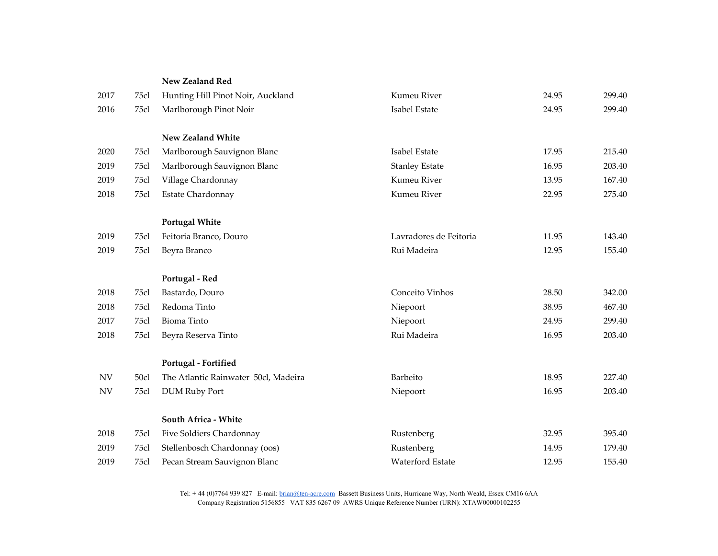|                          |      | New Zealand Red                      |                        |       |        |
|--------------------------|------|--------------------------------------|------------------------|-------|--------|
| 2017                     | 75cl | Hunting Hill Pinot Noir, Auckland    | Kumeu River            | 24.95 | 299.40 |
| 2016                     | 75cl | Marlborough Pinot Noir               | Isabel Estate          | 24.95 | 299.40 |
|                          |      | <b>New Zealand White</b>             |                        |       |        |
| 2020                     | 75cl | Marlborough Sauvignon Blanc          | Isabel Estate          | 17.95 | 215.40 |
| 2019                     | 75cl | Marlborough Sauvignon Blanc          | <b>Stanley Estate</b>  | 16.95 | 203.40 |
| 2019                     | 75cl | Village Chardonnay                   | Kumeu River            | 13.95 | 167.40 |
| 2018                     | 75cl | Estate Chardonnay                    | Kumeu River            | 22.95 | 275.40 |
|                          |      | <b>Portugal White</b>                |                        |       |        |
| 2019                     | 75cl | Feitoria Branco, Douro               | Lavradores de Feitoria | 11.95 | 143.40 |
| 2019                     | 75cl | Beyra Branco                         | Rui Madeira            | 12.95 | 155.40 |
|                          |      | Portugal - Red                       |                        |       |        |
| 2018                     | 75cl | Bastardo, Douro                      | Conceito Vinhos        | 28.50 | 342.00 |
| 2018                     |      | Redoma Tinto                         | Niepoort               | 38.95 | 467.40 |
|                          | 75cl |                                      |                        |       |        |
| 2017                     | 75cl | Bioma Tinto                          | Niepoort               | 24.95 | 299.40 |
| 2018                     | 75cl | Beyra Reserva Tinto                  | Rui Madeira            | 16.95 | 203.40 |
|                          |      | Portugal - Fortified                 |                        |       |        |
| <b>NV</b>                | 50c1 | The Atlantic Rainwater 50cl, Madeira | Barbeito               | 18.95 | 227.40 |
| $\ensuremath{\text{NV}}$ | 75cl | <b>DUM Ruby Port</b>                 | Niepoort               | 16.95 | 203.40 |
|                          |      | South Africa - White                 |                        |       |        |
| 2018                     | 75cl | Five Soldiers Chardonnay             | Rustenberg             | 32.95 | 395.40 |
| 2019                     | 75cl | Stellenbosch Chardonnay (oos)        | Rustenberg             | 14.95 | 179.40 |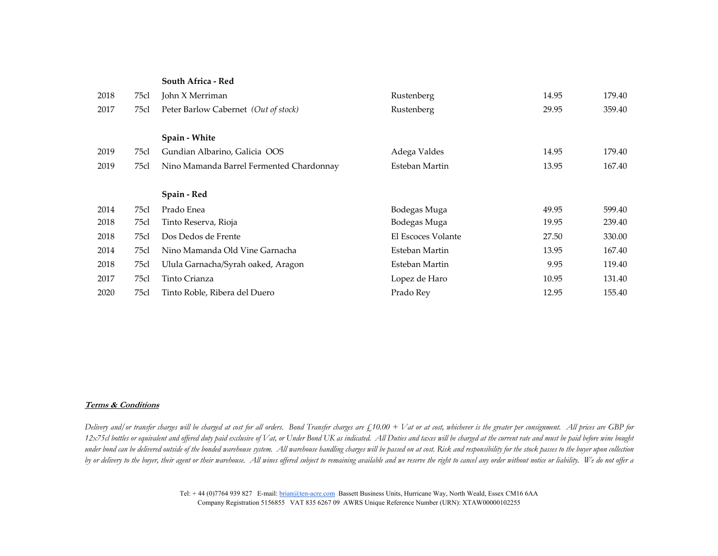|              |                                      | South Africa - Red                       |                    |        |        |
|--------------|--------------------------------------|------------------------------------------|--------------------|--------|--------|
| 2018         | 75cl                                 | John X Merriman                          | Rustenberg         | 14.95  | 179.40 |
| 75cl<br>2017 | Peter Barlow Cabernet (Out of stock) | Rustenberg                               | 29.95              | 359.40 |        |
|              |                                      | Spain - White                            |                    |        |        |
| 2019         | 75cl                                 | Gundian Albarino, Galicia OOS            | Adega Valdes       | 14.95  | 179.40 |
| 2019<br>75cl |                                      | Nino Mamanda Barrel Fermented Chardonnay | Esteban Martin     | 13.95  | 167.40 |
|              |                                      | Spain - Red                              |                    |        |        |
| 2014         | 75cl                                 | Prado Enea                               | Bodegas Muga       | 49.95  | 599.40 |
| 2018         | 75cl                                 | Tinto Reserva, Rioja                     | Bodegas Muga       | 19.95  | 239.40 |
| 2018         | 75cl                                 | Dos Dedos de Frente                      | El Escoces Volante | 27.50  | 330.00 |
| 2014         | 75cl                                 | Nino Mamanda Old Vine Garnacha           | Esteban Martin     | 13.95  | 167.40 |
| 2018         | 75cl                                 | Ulula Garnacha/Syrah oaked, Aragon       | Esteban Martin     | 9.95   | 119.40 |
| 2017         | 75cl                                 | Tinto Crianza                            | Lopez de Haro      | 10.95  | 131.40 |
| 2020         | 75cl                                 | Tinto Roble, Ribera del Duero            | Prado Rey          | 12.95  | 155.40 |

## **Terms & Conditions**

*Delivery and/or transfer charges will be charged at cost for all orders. Bond Transfer charges are £10.00 + Vat or at cost, whichever is the greater per consignment. All prices are GBP for 12x75cl bottles or equivalent and offered duty paid exclusive of Vat, or Under Bond UK as indicated. All Duties and taxes will be charged at the current rate and must be paid before wine bought under bond can be delivered outside of the bonded warehouse system. All warehouse handling charges will be passed on at cost. Risk and responsibility for the stock passes to the buyer upon collection by or delivery to the buyer, their agent or their warehouse. All wines offered subject to remaining available and we reserve the right to cancel any order without notice or liability. We do not offer a*